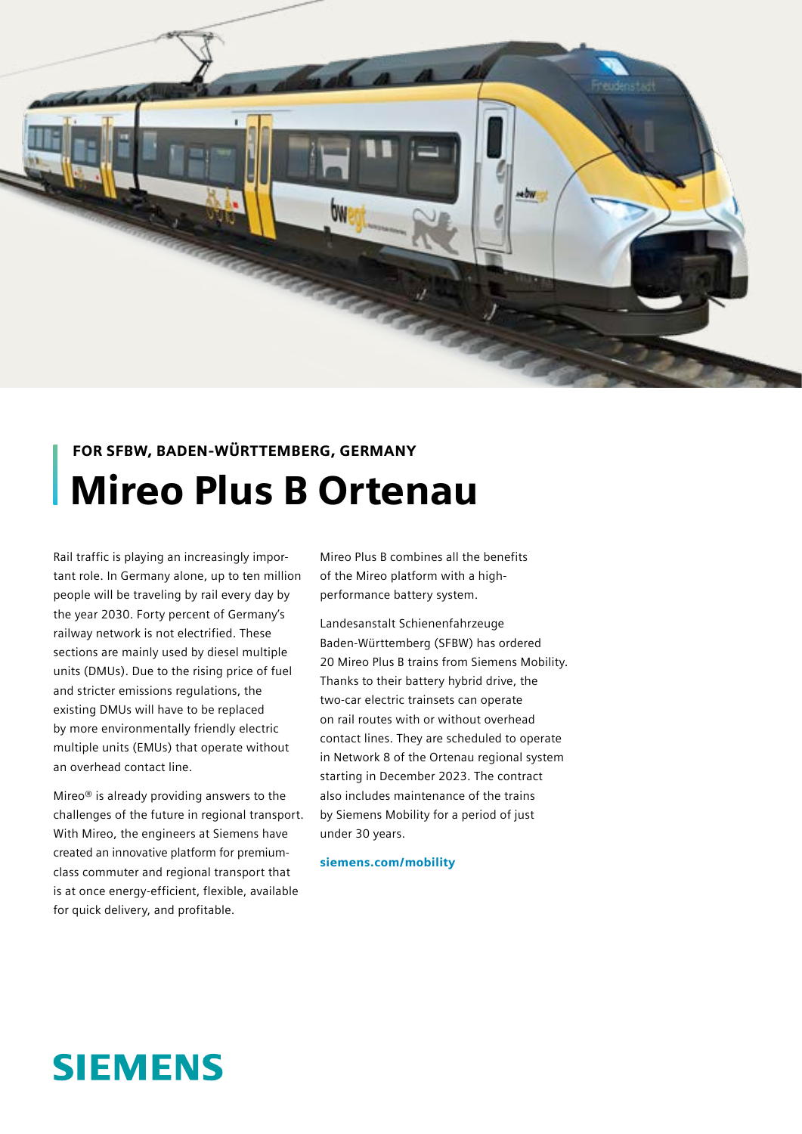

## FOR SFBW, BADEN-WÜRTTEMBERG, GERMANY Mireo Plus B Ortenau

Rail traffic is playing an increasingly important role. In Germany alone, up to ten million people will be traveling by rail every day by the year 2030. Forty percent of Germany's railway network is not electrified. These sections are mainly used by diesel multiple units (DMUs). Due to the rising price of fuel and stricter emissions regulations, the existing DMUs will have to be replaced by more environmentally friendly electric multiple units (EMUs) that operate without an overhead contact line.

Mireo® is already providing answers to the challenges of the future in regional transport. With Mireo, the engineers at Siemens have created an innovative platform for premiumclass commuter and regional transport that is at once energy-efficient, flexible, available for quick delivery, and profitable.

Mireo Plus B combines all the benefits of the Mireo platform with a highperformance battery system.

Landesanstalt Schienenfahrzeuge Baden-Württemberg (SFBW) has ordered 20 Mireo Plus B trains from Siemens Mobility. Thanks to their battery hybrid drive, the two-car electric trainsets can operate on rail routes with or without overhead contact lines. They are scheduled to operate in Network 8 of the Ortenau regional system starting in December 2023. The contract also includes maintenance of the trains by Siemens Mobility for a period of just under 30 years.

siemens.com/mobility

# **SIEMENS**